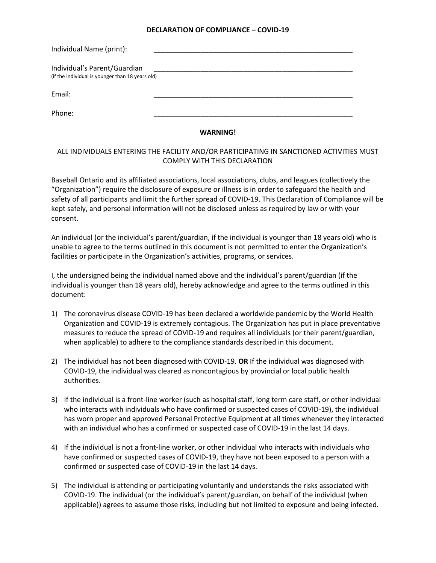## **DECLARATION OF COMPLIANCE – COVID-19**

| Individual Name (print):                                                         |  |
|----------------------------------------------------------------------------------|--|
| Individual's Parent/Guardian<br>(if the individual is younger than 18 years old) |  |
| Email:                                                                           |  |
| Phone:                                                                           |  |

## **WARNING!**

## ALL INDIVIDUALS ENTERING THE FACILITY AND/OR PARTICIPATING IN SANCTIONED ACTIVITIES MUST COMPLY WITH THIS DECLARATION

Baseball Ontario and its affiliated associations, local associations, clubs, and leagues (collectively the "Organization") require the disclosure of exposure or illness is in order to safeguard the health and safety of all participants and limit the further spread of COVID-19. This Declaration of Compliance will be kept safely, and personal information will not be disclosed unless as required by law or with your consent.

An individual (or the individual's parent/guardian, if the individual is younger than 18 years old) who is unable to agree to the terms outlined in this document is not permitted to enter the Organization's facilities or participate in the Organization's activities, programs, or services.

I, the undersigned being the individual named above and the individual's parent/guardian (if the individual is younger than 18 years old), hereby acknowledge and agree to the terms outlined in this document:

- 1) The coronavirus disease COVID-19 has been declared a worldwide pandemic by the World Health Organization and COVID-19 is extremely contagious. The Organization has put in place preventative measures to reduce the spread of COVID-19 and requires all individuals (or their parent/guardian, when applicable) to adhere to the compliance standards described in this document.
- 2) The individual has not been diagnosed with COVID-19. **OR** If the individual was diagnosed with COVID-19, the individual was cleared as noncontagious by provincial or local public health authorities.
- 3) If the individual is a front-line worker (such as hospital staff, long term care staff, or other individual who interacts with individuals who have confirmed or suspected cases of COVID-19), the individual has worn proper and approved Personal Protective Equipment at all times whenever they interacted with an individual who has a confirmed or suspected case of COVID-19 in the last 14 days.
- 4) If the individual is not a front-line worker, or other individual who interacts with individuals who have confirmed or suspected cases of COVID-19, they have not been exposed to a person with a confirmed or suspected case of COVID-19 in the last 14 days.
- 5) The individual is attending or participating voluntarily and understands the risks associated with COVID-19. The individual (or the individual's parent/guardian, on behalf of the individual (when applicable)) agrees to assume those risks, including but not limited to exposure and being infected.